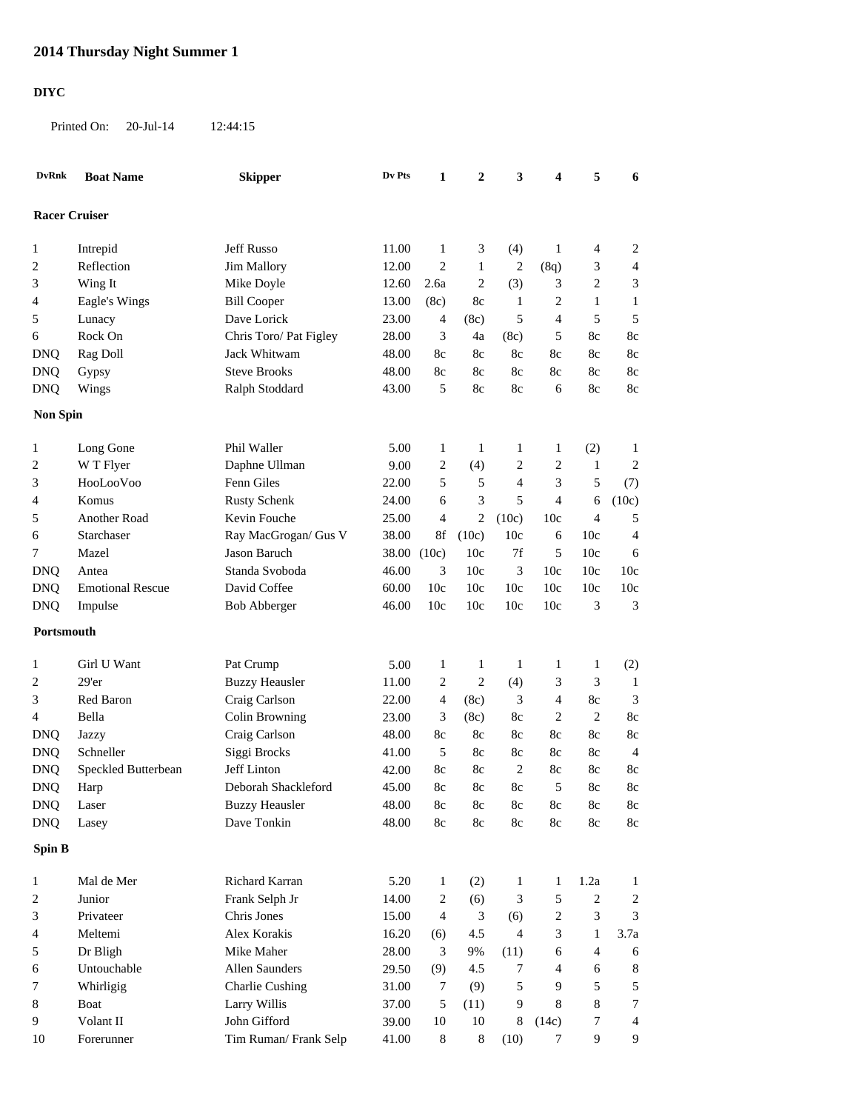## **2014 Thursday Night Summer 1**

## **DIYC**

Printed On: 20-Jul-14 12:44:15

| <b>DvRnk</b>         | <b>Boat Name</b>        | <b>Skipper</b>         | Dv Pts | 1                | 2              | 3              | 4              | 5                           | 6               |
|----------------------|-------------------------|------------------------|--------|------------------|----------------|----------------|----------------|-----------------------------|-----------------|
| <b>Racer Cruiser</b> |                         |                        |        |                  |                |                |                |                             |                 |
| 1                    | Intrepid                | Jeff Russo             | 11.00  | $\mathbf{1}$     | 3              | (4)            | $\mathbf{1}$   | $\overline{4}$              | $\overline{2}$  |
| 2                    | Reflection              | Jim Mallory            | 12.00  | 2                | 1              | $\overline{c}$ | (8q)           | 3                           | $\overline{4}$  |
| 3                    | Wing It                 | Mike Doyle             | 12.60  | 2.6a             | $\overline{c}$ | (3)            | 3              | $\overline{2}$              | 3               |
| 4                    | Eagle's Wings           | <b>Bill Cooper</b>     | 13.00  | (8c)             | 8c             | 1              | $\overline{c}$ | $\mathbf{1}$                | $\mathbf{1}$    |
| 5                    | Lunacy                  | Dave Lorick            | 23.00  | 4                | (8c)           | 5              | 4              | 5                           | 5               |
| 6                    | Rock On                 | Chris Toro/ Pat Figley | 28.00  | 3                | 4a             | (8c)           | 5              | 8c                          | 8c              |
| <b>DNQ</b>           | Rag Doll                | Jack Whitwam           | 48.00  | 8c               | 8c             | 8c             | 8c             | 8c                          | 8c              |
| <b>DNQ</b>           | Gypsy                   | <b>Steve Brooks</b>    | 48.00  | 8c               | 8c             | 8c             | 8c             | 8c                          | 8c              |
| <b>DNQ</b>           | Wings                   | Ralph Stoddard         | 43.00  | 5                | 8c             | 8c             | 6              | 8c                          | 8c              |
| <b>Non Spin</b>      |                         |                        |        |                  |                |                |                |                             |                 |
|                      |                         |                        |        |                  |                |                |                |                             |                 |
| 1                    | Long Gone               | Phil Waller            | 5.00   | 1                | 1              | 1              | 1              | (2)                         | $\mathbf{1}$    |
| 2                    | W T Flyer               | Daphne Ullman          | 9.00   | 2                | (4)            | $\overline{c}$ | $\overline{2}$ | $\mathbf{1}$                | $\overline{2}$  |
| 3                    | HooLooVoo               | Fenn Giles             | 22.00  | 5                | 5              | 4              | 3              | 5                           | (7)             |
| 4                    | Komus                   | <b>Rusty Schenk</b>    | 24.00  | 6                | 3              | 5              | 4              | 6                           | (10c)           |
| 5                    | Another Road            | Kevin Fouche           | 25.00  | 4                | 2              | (10c)          | 10c            | $\overline{4}$              | 5               |
| 6                    | Starchaser              | Ray MacGrogan/ Gus V   | 38.00  | 8f               | (10c)          | 10c            | 6              | 10c                         | $\overline{4}$  |
| 7                    | Mazel                   | Jason Baruch           | 38.00  | (10c)            | 10c            | $7\mathrm{f}$  | 5              | 10c                         | 6               |
| <b>DNQ</b>           | Antea                   | Standa Svoboda         | 46.00  | 3                | 10c            | 3              | 10c            | 10c                         | 10 <sub>c</sub> |
| <b>DNQ</b>           | <b>Emotional Rescue</b> | David Coffee           | 60.00  | 10c              | 10c            | 10c            | 10c            | 10c                         | 10c             |
| <b>DNQ</b>           | Impulse                 | <b>Bob Abberger</b>    | 46.00  | 10c              | 10c            | 10c            | 10c            | 3                           | 3               |
| Portsmouth           |                         |                        |        |                  |                |                |                |                             |                 |
| 1                    | Girl U Want             | Pat Crump              | 5.00   | 1                | 1              | 1              | 1              | $\mathbf{1}$                | (2)             |
| $\overline{c}$       | 29'er                   | <b>Buzzy Heausler</b>  | 11.00  | 2                | $\overline{2}$ | (4)            | 3              | 3                           | $\mathbf{1}$    |
| 3                    | Red Baron               | Craig Carlson          | 22.00  | 4                | (8c)           | 3              | 4              | 8c                          | 3               |
| 4                    | Bella                   | Colin Browning         | 23.00  | 3                | (8c)           | 8c             | $\overline{2}$ | $\mathbf{2}$                | 8c              |
| <b>DNQ</b>           | Jazzy                   | Craig Carlson          | 48.00  | 8c               | 8c             | 8c             | 8c             | 8c                          | 8c              |
| <b>DNQ</b>           | Schneller               | Siggi Brocks           | 41.00  | 5                | 8c             | 8c             | 8c             | 8c                          | 4               |
| <b>DNQ</b>           | Speckled Butterbean     | Jeff Linton            | 42.00  | 8c               | 8c             | $\overline{c}$ | 8c             | 8c                          | 8c              |
| <b>DNQ</b>           | Harp                    | Deborah Shackleford    | 45.00  | 8c               | 8c             | 8c             | 5              | 8c                          | 8c              |
| <b>DNQ</b>           | Laser                   | <b>Buzzy Heausler</b>  | 48.00  | $8\mathrm{c}$    | $8\mathrm{c}$  | $8\mathrm{c}$  | $8\mathrm{c}$  | $8\mathrm{c}$               | 8c              |
| <b>DNQ</b>           | Lasey                   | Dave Tonkin            | 48.00  | $8\mathrm{c}$    | $8\mathrm{c}$  | $8\mathrm{c}$  | $8\mathrm{c}$  | $8\mathrm{c}$               | 8c              |
| <b>Spin B</b>        |                         |                        |        |                  |                |                |                |                             |                 |
| $\mathbf{1}$         | Mal de Mer              | Richard Karran         | 5.20   | $\mathbf{1}$     | (2)            | 1              | $\mathbf{1}$   | 1.2a                        | $\mathbf{1}$    |
| 2                    | Junior                  | Frank Selph Jr         | 14.00  | $\boldsymbol{2}$ | (6)            | 3              | 5              | $\sqrt{2}$                  | $\sqrt{2}$      |
| 3                    | Privateer               | Chris Jones            | 15.00  | $\overline{4}$   | 3              | (6)            | $\sqrt{2}$     | $\ensuremath{\mathfrak{Z}}$ | 3               |
| 4                    | Meltemi                 | Alex Korakis           | 16.20  | (6)              | 4.5            | 4              | 3              | $\mathbf{1}$                | 3.7a            |
| 5                    | Dr Bligh                | Mike Maher             | 28.00  | 3                | 9%             | (11)           | 6              | 4                           | 6               |
| 6                    | Untouchable             | Allen Saunders         | 29.50  | (9)              | 4.5            | 7              | $\overline{4}$ | 6                           | $\,$ 8 $\,$     |
| 7                    | Whirligig               | <b>Charlie Cushing</b> | 31.00  | 7                | (9)            | 5              | 9              | 5                           | 5               |
| 8                    | Boat                    | Larry Willis           | 37.00  | 5                | (11)           | $\overline{9}$ | 8              | 8                           | 7               |
| 9                    | Volant II               | John Gifford           | 39.00  | 10               | 10             | 8              | (14c)          | $\boldsymbol{7}$            | $\overline{4}$  |
| 10                   | Forerunner              | Tim Ruman/Frank Selp   | 41.00  | $\,8\,$          | 8              | (10)           | 7              | 9                           | 9               |
|                      |                         |                        |        |                  |                |                |                |                             |                 |